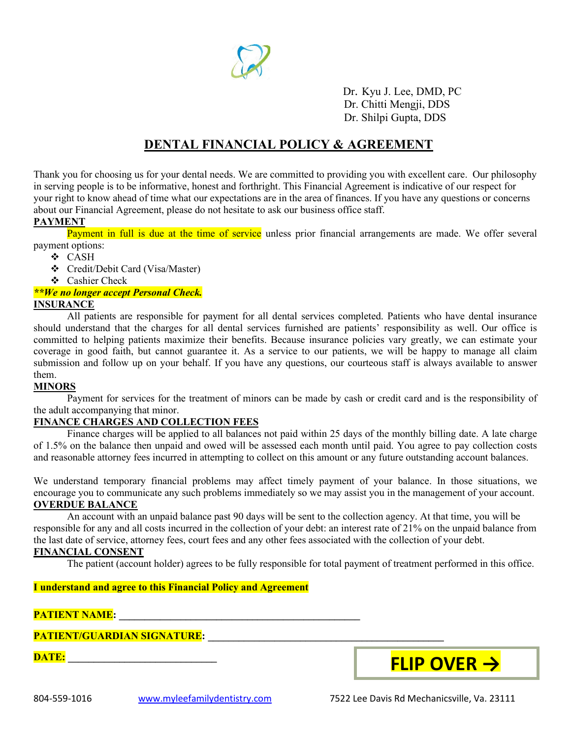

Dr. Kyu J. Lee, DMD, PC Dr. Chitti Mengji, DDS Dr. Shilpi Gupta, DDS

## **DENTAL FINANCIAL POLICY & AGREEMENT**

Thank you for choosing us for your dental needs. We are committed to providing you with excellent care. Our philosophy in serving people is to be informative, honest and forthright. This Financial Agreement is indicative of our respect for your right to know ahead of time what our expectations are in the area of finances. If you have any questions or concerns about our Financial Agreement, please do not hesitate to ask our business office staff.

## **PAYMENT**

Payment in full is due at the time of service unless prior financial arrangements are made. We offer several payment options:

- CASH
- Credit/Debit Card (Visa/Master)
- Cashier Check

#### *\*\*We no longer accept Personal Check.* **INSURANCE**

All patients are responsible for payment for all dental services completed. Patients who have dental insurance should understand that the charges for all dental services furnished are patients' responsibility as well. Our office is committed to helping patients maximize their benefits. Because insurance policies vary greatly, we can estimate your coverage in good faith, but cannot guarantee it. As a service to our patients, we will be happy to manage all claim submission and follow up on your behalf. If you have any questions, our courteous staff is always available to answer them.

#### **MINORS**

Payment for services for the treatment of minors can be made by cash or credit card and is the responsibility of the adult accompanying that minor.

#### **FINANCE CHARGES AND COLLECTION FEES**

Finance charges will be applied to all balances not paid within 25 days of the monthly billing date. A late charge of 1.5% on the balance then unpaid and owed will be assessed each month until paid. You agree to pay collection costs and reasonable attorney fees incurred in attempting to collect on this amount or any future outstanding account balances.

We understand temporary financial problems may affect timely payment of your balance. In those situations, we encourage you to communicate any such problems immediately so we may assist you in the management of your account. **OVERDUE BALANCE**

An account with an unpaid balance past 90 days will be sent to the collection agency. At that time, you will be responsible for any and all costs incurred in the collection of your debt: an interest rate of 21% on the unpaid balance from the last date of service, attorney fees, court fees and any other fees associated with the collection of your debt.

## **FINANCIAL CONSENT**

The patient (account holder) agrees to be fully responsible for total payment of treatment performed in this office.

### **I understand and agree to this Financial Policy and Agreement**

## **PATIENT NAME: \_\_\_\_\_\_\_\_\_\_\_\_\_\_\_\_\_\_\_\_\_\_\_\_\_\_\_\_\_\_\_\_\_\_\_\_\_\_\_\_\_\_\_\_\_\_\_**

**PATIENT/GUARDIAN SIGNATURE: \_\_\_\_\_\_\_\_\_\_\_\_\_\_\_\_\_\_\_\_\_\_\_\_\_\_\_\_\_\_\_\_\_\_\_\_\_\_\_\_\_\_\_\_\_\_**